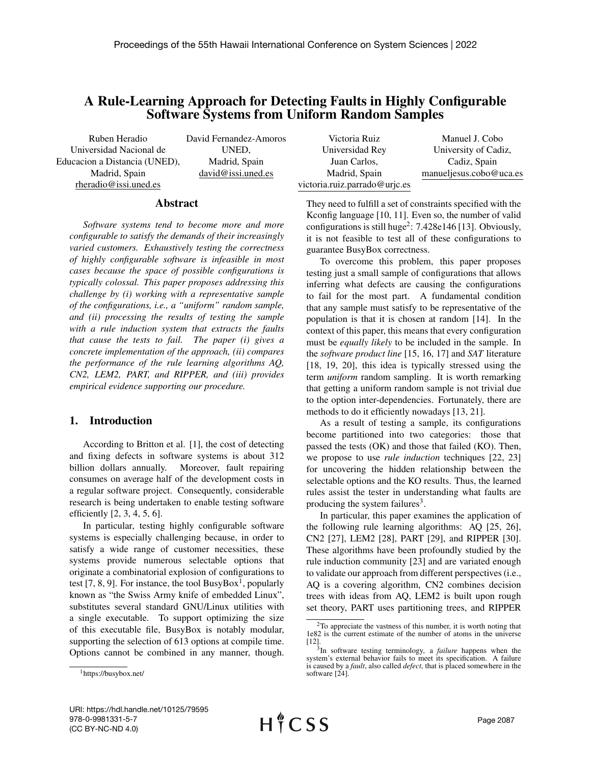# A Rule-Learning Approach for Detecting Faults in Highly Configurable Software Systems from Uniform Random Samples

Ruben Heradio Universidad Nacional de Educacion a Distancia (UNED), Madrid, Spain rheradio@issi.uned.es

David Fernandez-Amoros UNED, Madrid, Spain david@issi.uned.es

| Victoria Ruiz                 | Manuel J. Cobo          |
|-------------------------------|-------------------------|
| Universidad Rey               | University of Cadiz,    |
| Juan Carlos,                  | Cadiz, Spain            |
| Madrid, Spain                 | manueljesus.cobo@uca.es |
| victoria.ruiz.parrado@urjc.es |                         |

They need to fulfill a set of constraints specified with the Kconfig language [10, 11]. Even so, the number of valid configurations is still huge<sup>2</sup>:  $7.428e146$  [13]. Obviously, it is not feasible to test all of these configurations to

#### Abstract

*Software systems tend to become more and more configurable to satisfy the demands of their increasingly varied customers. Exhaustively testing the correctness of highly configurable software is infeasible in most cases because the space of possible configurations is typically colossal. This paper proposes addressing this challenge by (i) working with a representative sample of the configurations, i.e., a "uniform" random sample, and (ii) processing the results of testing the sample with a rule induction system that extracts the faults that cause the tests to fail. The paper (i) gives a concrete implementation of the approach, (ii) compares the performance of the rule learning algorithms AQ, CN2, LEM2, PART, and RIPPER, and (iii) provides empirical evidence supporting our procedure.*

## 1. Introduction

According to Britton et al. [1], the cost of detecting and fixing defects in software systems is about 312 billion dollars annually. Moreover, fault repairing consumes on average half of the development costs in a regular software project. Consequently, considerable research is being undertaken to enable testing software efficiently [2, 3, 4, 5, 6].

In particular, testing highly configurable software systems is especially challenging because, in order to satisfy a wide range of customer necessities, these systems provide numerous selectable options that originate a combinatorial explosion of configurations to test [7, 8, 9]. For instance, the tool BusyBox<sup>1</sup>, popularly known as "the Swiss Army knife of embedded Linux", substitutes several standard GNU/Linux utilities with a single executable. To support optimizing the size of this executable file, BusyBox is notably modular, supporting the selection of 613 options at compile time. Options cannot be combined in any manner, though.

guarantee BusyBox correctness. To overcome this problem, this paper proposes testing just a small sample of configurations that allows inferring what defects are causing the configurations to fail for the most part. A fundamental condition that any sample must satisfy to be representative of the

population is that it is chosen at random [14]. In the context of this paper, this means that every configuration must be *equally likely* to be included in the sample. In the *software product line* [15, 16, 17] and *SAT* literature [18, 19, 20], this idea is typically stressed using the term *uniform* random sampling. It is worth remarking that getting a uniform random sample is not trivial due to the option inter-dependencies. Fortunately, there are methods to do it efficiently nowadays [13, 21].

As a result of testing a sample, its configurations become partitioned into two categories: those that passed the tests (OK) and those that failed (KO). Then, we propose to use *rule induction* techniques [22, 23] for uncovering the hidden relationship between the selectable options and the KO results. Thus, the learned rules assist the tester in understanding what faults are producing the system failures<sup>3</sup>.

In particular, this paper examines the application of the following rule learning algorithms: AQ [25, 26], CN2 [27], LEM2 [28], PART [29], and RIPPER [30]. These algorithms have been profoundly studied by the rule induction community [23] and are variated enough to validate our approach from different perspectives (i.e., AQ is a covering algorithm, CN2 combines decision trees with ideas from AQ, LEM2 is built upon rough set theory, PART uses partitioning trees, and RIPPER

<sup>1</sup>https://busybox.net/

<sup>2</sup>To appreciate the vastness of this number, it is worth noting that 1e82 is the current estimate of the number of atoms in the universe [12].

<sup>3</sup> In software testing terminology, a *failure* happens when the system's external behavior fails to meet its specification. A failure is caused by a *fault*, also called *defect*, that is placed somewhere in the software [24].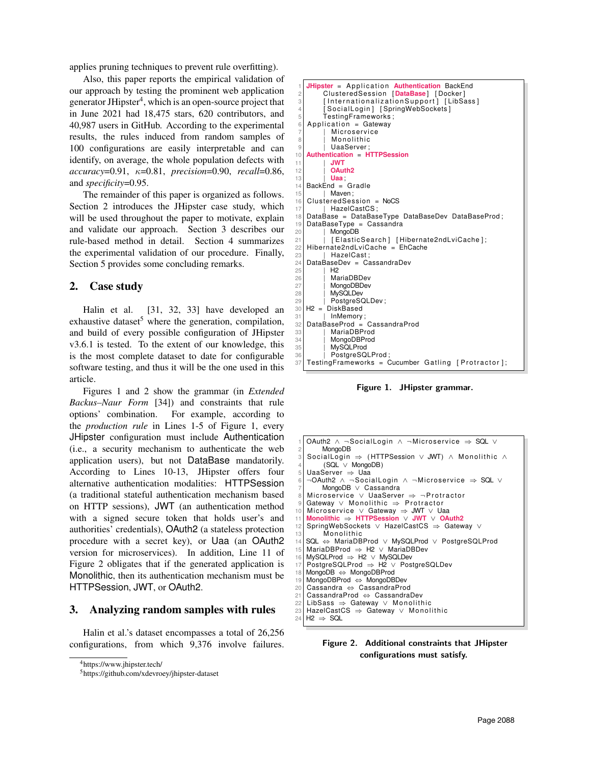applies pruning techniques to prevent rule overfitting).

Also, this paper reports the empirical validation of our approach by testing the prominent web application generator JHipster<sup>4</sup>, which is an open-source project that in June 2021 had 18,475 stars, 620 contributors, and 40,987 users in GitHub. According to the experimental results, the rules induced from random samples of 100 configurations are easily interpretable and can identify, on average, the whole population defects with *accuracy*=0.91, κ=0.81, *precision*=0.90, *recall*=0.86, and *specificity*=0.95.

The remainder of this paper is organized as follows. Section 2 introduces the JHipster case study, which will be used throughout the paper to motivate, explain and validate our approach. Section 3 describes our rule-based method in detail. Section 4 summarizes the experimental validation of our procedure. Finally, Section 5 provides some concluding remarks.

## 2. Case study

Halin et al. [31, 32, 33] have developed an exhaustive dataset<sup>5</sup> where the generation, compilation, and build of every possible configuration of JHipster v3.6.1 is tested. To the extent of our knowledge, this is the most complete dataset to date for configurable software testing, and thus it will be the one used in this article.

Figures 1 and 2 show the grammar (in *Extended Backus–Naur Form* [34]) and constraints that rule options' combination. For example, according to the *production rule* in Lines 1-5 of Figure 1, every JHipster configuration must include Authentication (i.e., a security mechanism to authenticate the web application users), but not DataBase mandatorily. According to Lines 10-13, JHipster offers four alternative authentication modalities: HTTPSession (a traditional stateful authentication mechanism based on HTTP sessions), JWT (an authentication method with a signed secure token that holds user's and authorities' credentials), OAuth2 (a stateless protection procedure with a secret key), or Uaa (an OAuth2 version for microservices). In addition, Line 11 of Figure 2 obligates that if the generated application is Monolithic, then its authentication mechanism must be HTTPSession, JWT, or OAuth2.

# 3. Analyzing random samples with rules

Halin et al.'s dataset encompasses a total of 26,256 configurations, from which 9,376 involve failures.

```
4https://www.jhipster.tech/
```

```
JHipster = Application Authentication BackEnd
          2 Clu ste redSe s sion [ DataBase ] [ Docker ]
          [InternationalizationSupport] [LibSass]
          [SocialLogin] [SpringWebSockets]
          5 TestingFrameworks ;
    Application = GatewayMicroservice
             Monolithic
             UaaServer:
10 Authentication = HTTPSession
11 | JWT<br>12 | OAu
             OAuth<sub>2</sub>
\begin{array}{c|c} \n 13 & \text{ | } \n \hline\n 14 & \text{BackEnd} = \n \end{array}BackEnd = Gradle
15 | Maven;
    Clustering redSession = NoCS
17 | HazelCastCS;
18 DataBase = DataBaseType DataBaseDev DataBaseProd ;
19 DataBaseType = Cassandra<br>20 | MongoDB
            MongoDB
21 | | [ElasticSearch] [Hibernate2ndLviCache];<br>22 Hibernate2ndLviCache = FhCache
    Hibernate2ndLviCache = EhCache
\begin{array}{c|c}\n 23 & \text{HazelCast;} \\
 24 & \text{DataBaseDev} = & \text{G}\n \end{array}24 DataBaseDev = CassandraDev<br>25 H2
            H<sub>2</sub>26 | MariaDBDev<br>27 | MongoDBDev
27 | MongoDBDev<br>28 | MvSQLDev
28 | MySQLDev<br>29 | PostareSC
            PostgreSQLDev ;
30 H2 = DiskBased
31 | InMemory ;
32 DataBaseProd = CassandraProd
33 | MariaDBProd
34 | MongoDBProd<br>35 | MvSQLProd
35 | MySQLProd<br>36 | PostareSQ
36 | PostgreSQLProd;<br>37 TestingFrameworks = C
    Testing Frame works = Cucumber Gating [Portactor];
```
Figure 1. JHipster grammar.

```
OAuth2 ∧ ¬SocialLogin ∧ ¬Microservice ⇒ SQL ∨
        MongoDB
   SocialLogin \Rightarrow (HTTPSession \lor JWT) \land Monolithic \land4 (SQL ∨ MongoDB )
   UaaServer ⇒ Uaa
    ¬OAuth2 ∧ ¬SocialLogin ∧ ¬Microservice ⇒ SQL ∨
        MongoDB ∨ Cassandra
   Microservice ∨ UaaServer \Rightarrow ¬Protractor
   Gateway \vee Monolithic \Rightarrow Protractor
10 Microservice ∨ Gateway ⇒ JWT ∨ Uaa
   11 Monolithic ⇒ HTTPSession ∨ JWT ∨ OAuth2
   12 SpringWebSockets ∨ HazelCastCS ⇒ Gateway ∨
         Monolithic
14 SQL ⇔ MariaDBProd ∨ MySQLProd ∨ PostgreSQLProd
15 MariaDBProd ⇒ H2 ∨ MariaDBDev
   16 MySQLProd ⇒ H2 ∨ MySQLDev
   17 PostgreSQLProd ⇒ H2 ∨ PostgreSQLDev
   18 MongoDB ⇔ MongoDBProd
19 MongoDBProd ⇔ MongoDBDev<br>20 Cassandra ⇔ CassandraPro
   20 Cassandra ⇔ CassandraProd
21 CassandraProd ⇔ CassandraDev<br>22 LibSass ⇒ Gatewav ∨ Monolith
22 LibSass ⇒ Gateway ∨ Monolithic<br>23 HazelCastCS ⇒ Gateway ∨ Monol
23 HazelCastCS ⇒ Gateway ∨ Monolithic<br>24 H2 ⇒ SQL
   H2 \Rightarrow SQL
```


<sup>5</sup>https://github.com/xdevroey/jhipster-dataset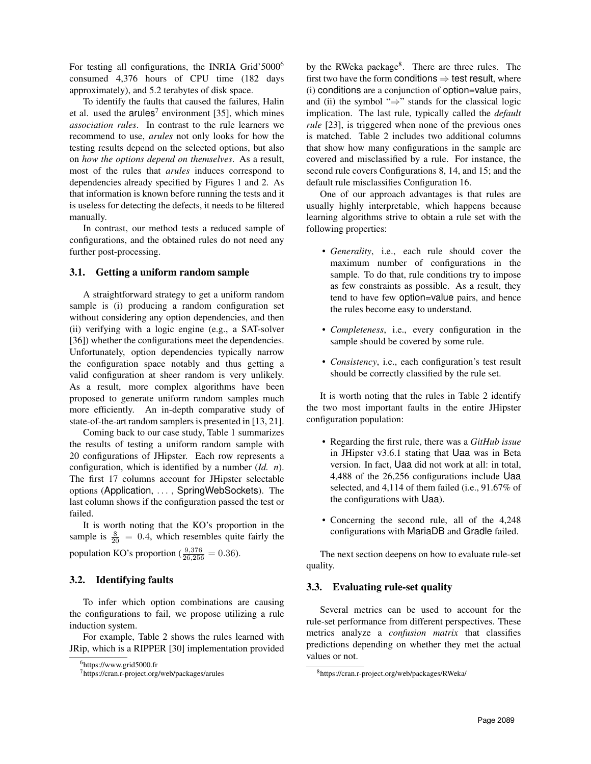For testing all configurations, the INRIA Grid'5000<sup>6</sup> consumed 4,376 hours of CPU time (182 days approximately), and 5.2 terabytes of disk space.

To identify the faults that caused the failures, Halin et al. used the  $arules<sup>7</sup>$  environment [35], which mines *association rules*. In contrast to the rule learners we recommend to use, *arules* not only looks for how the testing results depend on the selected options, but also on *how the options depend on themselves*. As a result, most of the rules that *arules* induces correspond to dependencies already specified by Figures 1 and 2. As that information is known before running the tests and it is useless for detecting the defects, it needs to be filtered manually.

In contrast, our method tests a reduced sample of configurations, and the obtained rules do not need any further post-processing.

## 3.1. Getting a uniform random sample

A straightforward strategy to get a uniform random sample is (i) producing a random configuration set without considering any option dependencies, and then (ii) verifying with a logic engine (e.g., a SAT-solver [36]) whether the configurations meet the dependencies. Unfortunately, option dependencies typically narrow the configuration space notably and thus getting a valid configuration at sheer random is very unlikely. As a result, more complex algorithms have been proposed to generate uniform random samples much more efficiently. An in-depth comparative study of state-of-the-art random samplers is presented in [13, 21].

Coming back to our case study, Table 1 summarizes the results of testing a uniform random sample with 20 configurations of JHipster. Each row represents a configuration, which is identified by a number (*Id. n*). The first 17 columns account for JHipster selectable options (Application, . . . , SpringWebSockets). The last column shows if the configuration passed the test or failed.

It is worth noting that the KO's proportion in the sample is  $\frac{8}{20}$  = 0.4, which resembles quite fairly the population KO's proportion ( $\frac{9,376}{26,256} = 0.36$ ).

# 3.2. Identifying faults

To infer which option combinations are causing the configurations to fail, we propose utilizing a rule induction system.

For example, Table 2 shows the rules learned with JRip, which is a RIPPER [30] implementation provided

by the RWeka package<sup>8</sup>. There are three rules. The first two have the form conditions  $\Rightarrow$  test result, where (i) conditions are a conjunction of option=value pairs, and (ii) the symbol " $\Rightarrow$ " stands for the classical logic implication. The last rule, typically called the *default rule* [23], is triggered when none of the previous ones is matched. Table 2 includes two additional columns that show how many configurations in the sample are covered and misclassified by a rule. For instance, the second rule covers Configurations 8, 14, and 15; and the default rule misclassifies Configuration 16.

One of our approach advantages is that rules are usually highly interpretable, which happens because learning algorithms strive to obtain a rule set with the following properties:

- *Generality*, i.e., each rule should cover the maximum number of configurations in the sample. To do that, rule conditions try to impose as few constraints as possible. As a result, they tend to have few option=value pairs, and hence the rules become easy to understand.
- *Completeness*, i.e., every configuration in the sample should be covered by some rule.
- *Consistency*, i.e., each configuration's test result should be correctly classified by the rule set.

It is worth noting that the rules in Table 2 identify the two most important faults in the entire JHipster configuration population:

- Regarding the first rule, there was a *GitHub issue* in JHipster v3.6.1 stating that Uaa was in Beta version. In fact, Uaa did not work at all: in total, 4,488 of the 26,256 configurations include Uaa selected, and 4,114 of them failed (i.e., 91.67% of the configurations with Uaa).
- Concerning the second rule, all of the 4,248 configurations with MariaDB and Gradle failed.

The next section deepens on how to evaluate rule-set quality.

# 3.3. Evaluating rule-set quality

Several metrics can be used to account for the rule-set performance from different perspectives. These metrics analyze a *confusion matrix* that classifies predictions depending on whether they met the actual values or not.

<sup>6</sup>https://www.grid5000.fr

<sup>7</sup>https://cran.r-project.org/web/packages/arules

<sup>8</sup>https://cran.r-project.org/web/packages/RWeka/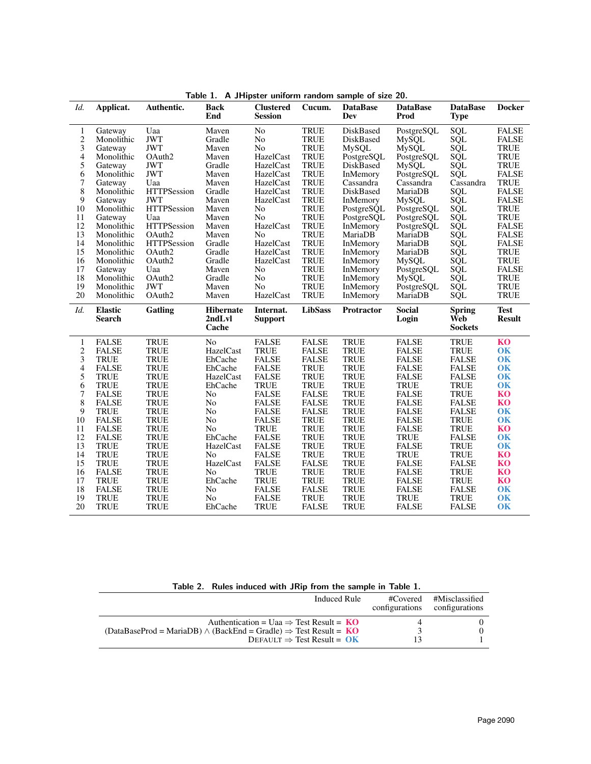| Id.            | Applicat.                | Authentic.         | <b>Back</b><br>End                  | <b>Clustered</b><br><b>Session</b> | Cucum.         | <b>DataBase</b><br>Dev | <b>DataBase</b><br>Prod | <b>DataBase</b><br><b>Type</b>         | <b>Docker</b>                |
|----------------|--------------------------|--------------------|-------------------------------------|------------------------------------|----------------|------------------------|-------------------------|----------------------------------------|------------------------------|
| 1              | Gateway                  | Uaa                | Maven                               | No                                 | <b>TRUE</b>    | DiskBased              | PostgreSQL              | SQL                                    | <b>FALSE</b>                 |
| $\frac{2}{3}$  | Monolithic               | <b>JWT</b>         | Gradle                              | No                                 | <b>TRUE</b>    | DiskBased              | <b>MySQL</b>            | SQL                                    | <b>FALSE</b>                 |
|                | Gateway                  | <b>JWT</b>         | Maven                               | N <sub>o</sub>                     | <b>TRUE</b>    | MySQL                  | <b>MySQL</b>            | SQL                                    | <b>TRUE</b>                  |
| 4              | Monolithic               | OAuth <sub>2</sub> | Maven                               | HazelCast                          | <b>TRUE</b>    | PostgreSQL             | PostgreSQL              | SQL                                    | <b>TRUE</b>                  |
| 5              | Gateway                  | <b>JWT</b>         | Gradle                              | HazelCast                          | <b>TRUE</b>    | DiskBased              | <b>MySQL</b>            | SQL                                    | <b>TRUE</b>                  |
| 6              | Monolithic               | <b>JWT</b>         | Maven                               | HazelCast                          | <b>TRUE</b>    | InMemory               | PostgreSQL              | SQL                                    | <b>FALSE</b>                 |
| $\overline{7}$ | Gateway                  | Uaa                | Maven                               | HazelCast                          | <b>TRUE</b>    | Cassandra              | Cassandra               | Cassandra                              | <b>TRUE</b>                  |
| 8              | Monolithic               | <b>HTTPSession</b> | Gradle                              | HazelCast                          | <b>TRUE</b>    | DiskBased              | MariaDB                 | SQL                                    | <b>FALSE</b>                 |
| 9              | Gateway                  | <b>JWT</b>         | Maven                               | HazelCast                          | <b>TRUE</b>    | InMemory               | <b>MySQL</b>            | SQL                                    | <b>FALSE</b>                 |
| 10             | Monolithic               | <b>HTTPSession</b> | Maven                               | No                                 | <b>TRUE</b>    | PostgreSQL             | PostgreSQL              | SQL                                    | <b>TRUE</b>                  |
| 11             | Gateway                  | Uaa                | Maven                               | N <sub>o</sub>                     | <b>TRUE</b>    | PostgreSQL             | PostgreSQL              | SQL                                    | <b>TRUE</b>                  |
| 12             | Monolithic               | <b>HTTPSession</b> | Maven                               | HazelCast                          | <b>TRUE</b>    | InMemory               | PostgreSQL              | SQL                                    | <b>FALSE</b>                 |
| 13             | Monolithic               | OAuth <sub>2</sub> | Maven                               | N <sub>0</sub>                     | <b>TRUE</b>    | MariaDB                | MariaDB                 | SQL                                    | <b>FALSE</b>                 |
| 14             | Monolithic               | <b>HTTPSession</b> | Gradle                              | HazelCast                          | <b>TRUE</b>    | InMemory               | MariaDB                 | SQL                                    | <b>FALSE</b>                 |
| 15             | Monolithic               | OAuth <sub>2</sub> | Gradle                              | HazelCast                          | <b>TRUE</b>    | InMemory               | MariaDB                 | SQL<br>SQL                             | <b>TRUE</b>                  |
| 16             | Monolithic               | OAuth <sub>2</sub> | Gradle                              | HazelCast                          | <b>TRUE</b>    | InMemory               | <b>MySQL</b>            |                                        | <b>TRUE</b>                  |
| 17             | Gateway                  | Uaa                | Maven                               | No                                 | <b>TRUE</b>    | InMemory               | PostgreSQL              | SQL                                    | <b>FALSE</b>                 |
| 18             | Monolithic               | OAuth <sub>2</sub> | Gradle                              | No                                 | <b>TRUE</b>    | InMemory               | <b>MySQL</b>            | SQL                                    | <b>TRUE</b>                  |
| 19             | Monolithic               | <b>JWT</b>         | Maven                               | N <sub>o</sub>                     | <b>TRUE</b>    | InMemory               | PostgreSQL              | SQL                                    | <b>TRUE</b>                  |
| 20             | Monolithic               | OAuth2             | Maven                               | HazelCast                          | <b>TRUE</b>    | InMemory               | MariaDB                 | SQL                                    | <b>TRUE</b>                  |
| Id.            | <b>Elastic</b><br>Search | Gatling            | <b>Hibernate</b><br>2ndLvl<br>Cache | Internat.<br><b>Support</b>        | <b>LibSass</b> | <b>Protractor</b>      | <b>Social</b><br>Login  | <b>Spring</b><br>Web<br><b>Sockets</b> | <b>Test</b><br><b>Result</b> |
| $\mathbf{1}$   | <b>FALSE</b>             | <b>TRUE</b>        | N <sub>o</sub>                      | <b>FALSE</b>                       | <b>FALSE</b>   | <b>TRUE</b>            | <b>FALSE</b>            | <b>TRUE</b>                            | KO                           |
| $\overline{c}$ | <b>FALSE</b>             | <b>TRUE</b>        | HazelCast                           | <b>TRUE</b>                        | <b>FALSE</b>   | <b>TRUE</b>            | <b>FALSE</b>            | <b>TRUE</b>                            | <b>OK</b>                    |
| 3              | <b>TRUE</b>              | <b>TRUE</b>        | EhCache                             | <b>FALSE</b>                       | <b>FALSE</b>   | <b>TRUE</b>            | <b>FALSE</b>            | <b>FALSE</b>                           | <b>OK</b>                    |
| 4              | <b>FALSE</b>             | <b>TRUE</b>        | EhCache                             | <b>FALSE</b>                       | <b>TRUE</b>    | <b>TRUE</b>            | <b>FALSE</b>            | <b>FALSE</b>                           | <b>OK</b>                    |
| 5              | <b>TRUE</b>              | <b>TRUE</b>        | HazelCast                           | <b>FALSE</b>                       | <b>TRUE</b>    | <b>TRUE</b>            | <b>FALSE</b>            | <b>FALSE</b>                           | <b>OK</b>                    |
| 6              | <b>TRUE</b>              | <b>TRUE</b>        | EhCache                             | <b>TRUE</b>                        | <b>TRUE</b>    | <b>TRUE</b>            | TRUE                    | TRUE                                   | <b>OK</b>                    |
| 7              | <b>FALSE</b>             | <b>TRUE</b>        | No                                  | <b>FALSE</b>                       | <b>FALSE</b>   | <b>TRUE</b>            | <b>FALSE</b>            | <b>TRUE</b>                            | KO                           |
| 8              | <b>FALSE</b>             | <b>TRUE</b>        | No                                  | <b>FALSE</b>                       | <b>FALSE</b>   | <b>TRUE</b>            | <b>FALSE</b>            | <b>FALSE</b>                           | KO                           |
| 9              | <b>TRUE</b>              | <b>TRUE</b>        | No                                  | <b>FALSE</b>                       | <b>FALSE</b>   | <b>TRUE</b>            | <b>FALSE</b>            | <b>FALSE</b>                           | <b>OK</b>                    |
| 10             | <b>FALSE</b>             | <b>TRUE</b>        | No                                  | <b>FALSE</b>                       | <b>TRUE</b>    | <b>TRUE</b>            | <b>FALSE</b>            | <b>TRUE</b>                            | <b>OK</b>                    |
| 11             | <b>FALSE</b>             | <b>TRUE</b>        | N <sub>o</sub>                      | <b>TRUE</b>                        | <b>TRUE</b>    | <b>TRUE</b>            | <b>FALSE</b>            | <b>TRUE</b>                            | <b>KO</b>                    |
| 12             | <b>FALSE</b>             | <b>TRUE</b>        | EhCache                             | <b>FALSE</b>                       | <b>TRUE</b>    | <b>TRUE</b>            | <b>TRUE</b>             | <b>FALSE</b>                           | <b>OK</b>                    |
| 13             | <b>TRUE</b>              | <b>TRUE</b>        | HazelCast                           | <b>FALSE</b>                       | <b>TRUE</b>    | <b>TRUE</b>            | <b>FALSE</b>            | <b>TRUE</b>                            | <b>OK</b>                    |
| 14             | <b>TRUE</b>              | <b>TRUE</b>        | No                                  | <b>FALSE</b>                       | <b>TRUE</b>    | <b>TRUE</b>            | <b>TRUE</b>             | <b>TRUE</b>                            | KO                           |
| 15             | <b>TRUE</b>              | <b>TRUE</b>        | HazelCast                           | <b>FALSE</b>                       | <b>FALSE</b>   | <b>TRUE</b>            | <b>FALSE</b>            | <b>FALSE</b>                           | KO                           |
| 16             | <b>FALSE</b>             | <b>TRUE</b>        | No                                  | <b>TRUE</b>                        | <b>TRUE</b>    | <b>TRUE</b>            | <b>FALSE</b>            | <b>TRUE</b>                            | KO                           |
| 17             | <b>TRUE</b>              | <b>TRUE</b>        | EhCache                             | <b>TRUE</b>                        | <b>TRUE</b>    | <b>TRUE</b>            | <b>FALSE</b>            | <b>TRUE</b>                            | KO                           |
| 18             | <b>FALSE</b>             | <b>TRUE</b>        | No                                  | <b>FALSE</b>                       | <b>FALSE</b>   | <b>TRUE</b>            | <b>FALSE</b>            | <b>FALSE</b>                           | <b>OK</b>                    |
| 19             | <b>TRUE</b>              | <b>TRUE</b>        | N <sub>o</sub>                      | <b>FALSE</b>                       | <b>TRUE</b>    | <b>TRUE</b>            | <b>TRUE</b>             | <b>TRUE</b>                            | <b>OK</b>                    |
| 20             | <b>TRUE</b>              | <b>TRUE</b>        | EhCache                             | <b>TRUE</b>                        | <b>FALSE</b>   | <b>TRUE</b>            | <b>FALSE</b>            | <b>FALSE</b>                           | <b>OK</b>                    |

Table 1. A JHipster uniform random sample of size 20.

| Induced Rule                                                                      | #Covered<br>configurations | #Misclassified<br>configurations |
|-----------------------------------------------------------------------------------|----------------------------|----------------------------------|
| Authentication = Uaa $\Rightarrow$ Test Result = KO                               | 4                          |                                  |
| $(DataBaseProd = MariaDB) \wedge (BackEnd = Gradle) \Rightarrow Test Result = KO$ | $\ddot{\phantom{1}}$       |                                  |
| DEFAULT $\Rightarrow$ Test Result = OK                                            | 13                         |                                  |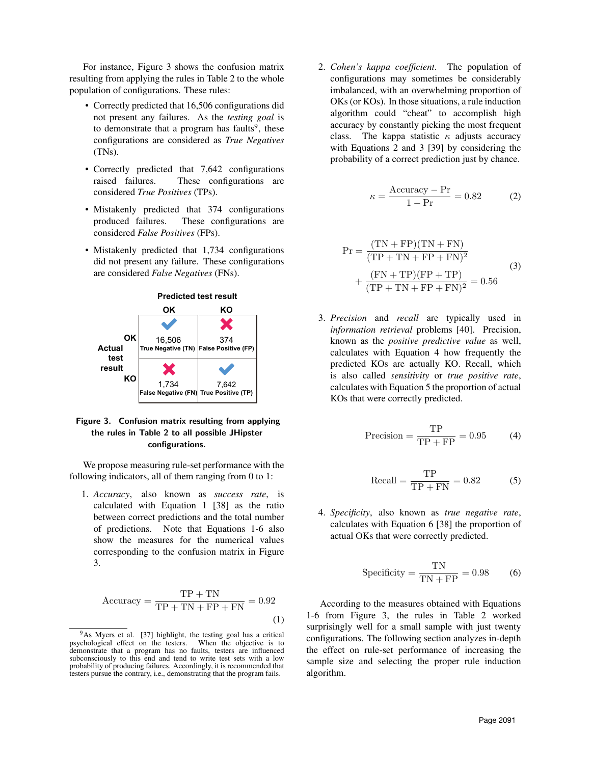For instance, Figure 3 shows the confusion matrix resulting from applying the rules in Table 2 to the whole population of configurations. These rules:

- Correctly predicted that 16,506 configurations did not present any failures. As the *testing goal* is to demonstrate that a program has faults<sup>9</sup>, these configurations are considered as *True Negatives* (TNs).
- Correctly predicted that 7,642 configurations raised failures. These configurations are considered *True Positives* (TPs).
- Mistakenly predicted that 374 configurations produced failures. These configurations are considered *False Positives* (FPs).
- Mistakenly predicted that 1,734 configurations did not present any failure. These configurations are considered *False Negatives* (FNs).



### Figure 3. Confusion matrix resulting from applying the rules in Table 2 to all possible JHipster configurations.

We propose measuring rule-set performance with the following indicators, all of them ranging from 0 to 1:

1. *Accuracy*, also known as *success rate*, is calculated with Equation 1 [38] as the ratio between correct predictions and the total number of predictions. Note that Equations 1-6 also show the measures for the numerical values corresponding to the confusion matrix in Figure 3.

$$
Accuracy = \frac{TP + TN}{TP + TN + FP + FN} = 0.92
$$
\n(1)

2. *Cohen's kappa coefficient*. The population of configurations may sometimes be considerably imbalanced, with an overwhelming proportion of OKs (or KOs). In those situations, a rule induction algorithm could "cheat" to accomplish high accuracy by constantly picking the most frequent class. The kappa statistic  $\kappa$  adjusts accuracy with Equations 2 and 3 [39] by considering the probability of a correct prediction just by chance.

$$
\kappa = \frac{\text{Accuracy} - \text{Pr}}{1 - \text{Pr}} = 0.82 \tag{2}
$$

$$
Pr = \frac{(TN + FP)(TN + FN)}{(TP + TN + FP + FN)^2} + \frac{(FN + TP)(FP + TP)}{(TP + TN + FP + FN)^2} = 0.56
$$
 (3)

3. *Precision* and *recall* are typically used in *information retrieval* problems [40]. Precision, known as the *positive predictive value* as well, calculates with Equation 4 how frequently the predicted KOs are actually KO. Recall, which is also called *sensitivity* or *true positive rate*, calculates with Equation 5 the proportion of actual KOs that were correctly predicted.

$$
Precision = \frac{TP}{TP + FP} = 0.95
$$
 (4)

$$
Recall = \frac{TP}{TP + FN} = 0.82
$$
 (5)

4. *Specificity*, also known as *true negative rate*, calculates with Equation 6 [38] the proportion of actual OKs that were correctly predicted.

$$
Specificity = \frac{TN}{TN + FP} = 0.98
$$
 (6)

According to the measures obtained with Equations 1-6 from Figure 3, the rules in Table 2 worked surprisingly well for a small sample with just twenty configurations. The following section analyzes in-depth the effect on rule-set performance of increasing the sample size and selecting the proper rule induction algorithm.

 $9$ As Myers et al. [37] highlight, the testing goal has a critical chological effect on the testers. When the objective is to psychological effect on the testers. demonstrate that a program has no faults, testers are influenced subconsciously to this end and tend to write test sets with a low probability of producing failures. Accordingly, it is recommended that testers pursue the contrary, i.e., demonstrating that the program fails.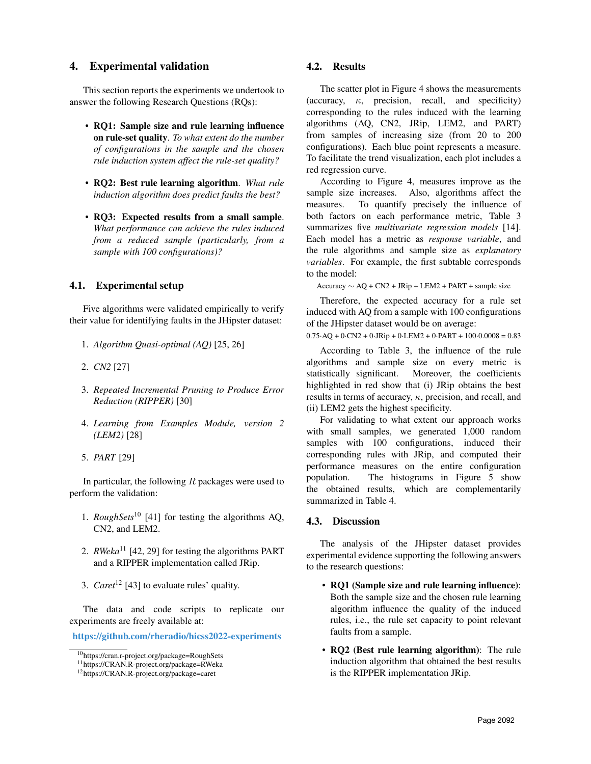# 4. Experimental validation

This section reports the experiments we undertook to answer the following Research Questions (RQs):

- RQ1: Sample size and rule learning influence on rule-set quality. *To what extent do the number of configurations in the sample and the chosen rule induction system affect the rule-set quality?*
- RQ2: Best rule learning algorithm. *What rule induction algorithm does predict faults the best?*
- RQ3: Expected results from a small sample. *What performance can achieve the rules induced from a reduced sample (particularly, from a sample with 100 configurations)?*

#### 4.1. Experimental setup

Five algorithms were validated empirically to verify their value for identifying faults in the JHipster dataset:

- 1. *Algorithm Quasi-optimal (AQ)* [25, 26]
- 2. *CN2* [27]
- 3. *Repeated Incremental Pruning to Produce Error Reduction (RIPPER)* [30]
- 4. *Learning from Examples Module, version 2 (LEM2)* [28]
- 5. *PART* [29]

In particular, the following  $R$  packages were used to perform the validation:

- 1. *RoughSets*<sup>10</sup> [41] for testing the algorithms AQ, CN2, and LEM2.
- 2. *RWeka*<sup>11</sup> [42, 29] for testing the algorithms PART and a RIPPER implementation called JRip.
- 3. *Caret*<sup>12</sup> [43] to evaluate rules' quality.

The data and code scripts to replicate our experiments are freely available at:

https://github.com/rheradio/hicss2022-experiments

#### 4.2. Results

The scatter plot in Figure 4 shows the measurements (accuracy,  $\kappa$ , precision, recall, and specificity) corresponding to the rules induced with the learning algorithms (AQ, CN2, JRip, LEM2, and PART) from samples of increasing size (from 20 to 200 configurations). Each blue point represents a measure. To facilitate the trend visualization, each plot includes a red regression curve.

According to Figure 4, measures improve as the sample size increases. Also, algorithms affect the measures. To quantify precisely the influence of both factors on each performance metric, Table 3 summarizes five *multivariate regression models* [14]. Each model has a metric as *response variable*, and the rule algorithms and sample size as *explanatory variables*. For example, the first subtable corresponds to the model:

 $Accuracy \sim AO + CN2 + JRip + LEM2 + PART + sample size$ 

Therefore, the expected accuracy for a rule set induced with AQ from a sample with 100 configurations of the JHipster dataset would be on average:

 $0.75 \text{·AQ} + 0 \text{·CN2} + 0 \text{·JRip} + 0 \text{·LEM2} + 0 \text{·PART} + 100 \text{·}0.0008 = 0.83$ 

According to Table 3, the influence of the rule algorithms and sample size on every metric is statistically significant. Moreover, the coefficients highlighted in red show that (i) JRip obtains the best results in terms of accuracy,  $\kappa$ , precision, and recall, and (ii) LEM2 gets the highest specificity.

For validating to what extent our approach works with small samples, we generated 1,000 random samples with 100 configurations, induced their corresponding rules with JRip, and computed their performance measures on the entire configuration population. The histograms in Figure 5 show the obtained results, which are complementarily summarized in Table 4.

## 4.3. Discussion

The analysis of the JHipster dataset provides experimental evidence supporting the following answers to the research questions:

- RQ1 (Sample size and rule learning influence): Both the sample size and the chosen rule learning algorithm influence the quality of the induced rules, i.e., the rule set capacity to point relevant faults from a sample.
- RQ2 (Best rule learning algorithm): The rule induction algorithm that obtained the best results is the RIPPER implementation JRip.

<sup>10</sup>https://cran.r-project.org/package=RoughSets

<sup>11</sup>https://CRAN.R-project.org/package=RWeka

<sup>12</sup>https://CRAN.R-project.org/package=caret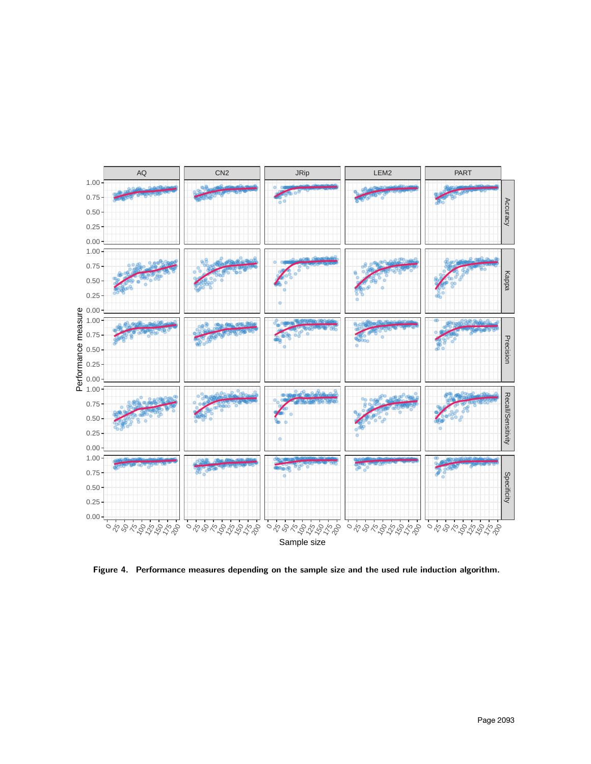

Figure 4. Performance measures depending on the sample size and the used rule induction algorithm.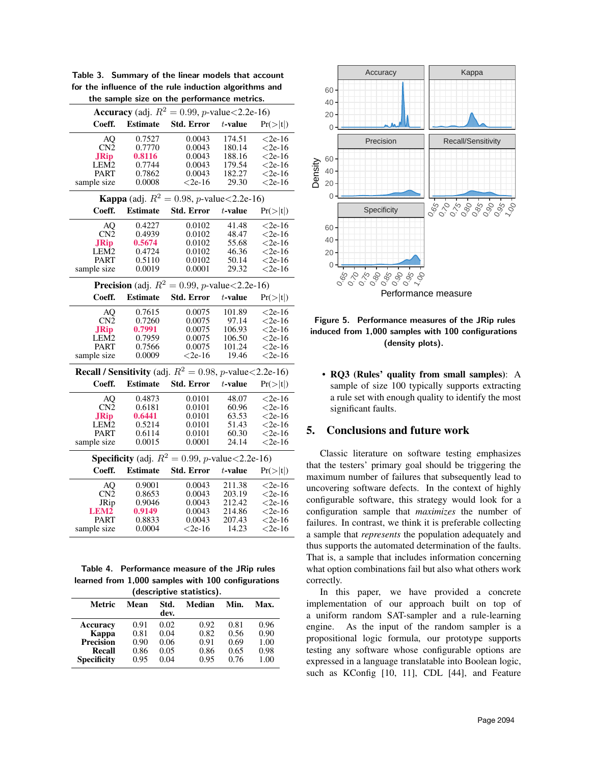|                    |                 | the sample size on the performance metrics.                                 |                  |           | 40            |                                                  |
|--------------------|-----------------|-----------------------------------------------------------------------------|------------------|-----------|---------------|--------------------------------------------------|
|                    |                 | <b>Accuracy</b> (adj. $R^2 = 0.99$ , <i>p</i> -value<2.2e-16)               |                  |           | 20            |                                                  |
| Coeff.             | <b>Estimate</b> | <b>Std. Error</b>                                                           | $t$ -value       | Pr(> t )  | 0             |                                                  |
| AQ                 | 0.7527          | 0.0043                                                                      | 174.51           | $<$ 2e-16 |               | Precision                                        |
| CN <sub>2</sub>    | 0.7770          | 0.0043                                                                      | 180.14           | $< 2e-16$ |               |                                                  |
| <b>JRip</b>        | 0.8116          | 0.0043                                                                      | 188.16           | $<$ 2e-16 | 60            |                                                  |
| LEM <sub>2</sub>   | 0.7744          | 0.0043                                                                      | 179.54           | $< 2e-16$ |               |                                                  |
| PART               | 0.7862          | 0.0043                                                                      | 182.27           | $< 2e-16$ | 40            |                                                  |
| sample size        | 0.0008          | $< 2e-16$                                                                   | 29.30            | $< 2e-16$ | Density<br>20 |                                                  |
|                    |                 | <b>Kappa</b> (adj. $R^2 = 0.98$ , <i>p</i> -value < 2.2e-16)                |                  |           | 0             |                                                  |
| Coeff.             | <b>Estimate</b> | <b>Std. Error</b>                                                           | $t$ -value       | Pr(> t )  |               | Specificity                                      |
| AQ                 | 0.4227          | 0.0102                                                                      | 41.48            | $< 2e-16$ | 60            |                                                  |
| CN <sub>2</sub>    | 0.4939          | 0.0102                                                                      | 48.47            | $< 2e-16$ |               |                                                  |
| <b>JRip</b>        | 0.5674          | 0.0102                                                                      | 55.68            | $< 2e-16$ | 40            |                                                  |
| LEM2               | 0.4724          | 0.0102                                                                      | 46.36            | $<$ 2e-16 | $20 \cdot$    |                                                  |
| PART               | 0.5110          | 0.0102                                                                      | 50.14            | $<$ 2e-16 | $0 \cdot$     |                                                  |
| sample size        | 0.0019          | 0.0001                                                                      | 29.32            | $<$ 2e-16 |               | ०.०.०.०. <i>०</i><br>१९८९, १<br>0.85             |
|                    |                 | <b>Precision</b> (adj. $R^2 = 0.99$ , <i>p</i> -value < 2.2e-16)            |                  |           |               | Perf                                             |
| Coeff.             | <b>Estimate</b> | <b>Std. Error</b>                                                           | $t$ -value       | Pr(> t )  |               |                                                  |
| AQ                 | 0.7615          | 0.0075                                                                      | 101.89           | $< 2e-16$ |               |                                                  |
| CN <sub>2</sub>    | 0.7260          | 0.0075                                                                      | 97.14            | $< 2e-16$ | Figure 5.     | Performan                                        |
| <b>JRip</b>        | 0.7991          | 0.0075                                                                      | 106.93           | $<$ 2e-16 |               | induced from 1,000 sa                            |
| LEM2               | 0.7959          | 0.0075                                                                      | 106.50           | $< 2e-16$ |               | (de                                              |
| <b>PART</b>        | 0.7566          | 0.0075                                                                      | 101.24           | $<$ 2e-16 |               |                                                  |
| sample size        | 0.0009          | $<$ 2e-16                                                                   | 19.46            | $< 2e-16$ |               |                                                  |
|                    |                 | <b>Recall / Sensitivity</b> (adj. $R^2 = 0.98$ , <i>p</i> -value < 2.2e-16) |                  |           |               | • RQ3 (Rules' qu                                 |
| Coeff.             | <b>Estimate</b> | <b>Std. Error</b>                                                           | $t$ -value       | Pr(> t )  |               | sample of size 10                                |
| AQ                 | 0.4873          | 0.0101                                                                      | 48.07            | $< 2e-16$ |               | a rule set with end                              |
| CN2                | 0.6181          | 0.0101                                                                      | 60.96            | $< 2e-16$ |               | significant faults.                              |
| <b>JRip</b>        | 0.6441          | 0.0101                                                                      | 63.53            | $< 2e-16$ |               |                                                  |
| LEM2               | 0.5214          | 0.0101                                                                      | 51.43            | $< 2e-16$ |               |                                                  |
| PART               | 0.6114          | 0.0101                                                                      | 60.30            | $<$ 2e-16 | 5.            | <b>Conclusions an</b>                            |
| sample size        | 0.0015          | 0.0001                                                                      | 24.14            | $<$ 2e-16 |               |                                                  |
|                    |                 | <b>Specificity</b> (adj. $R^2 = 0.99$ , <i>p</i> -value < 2.2e-16)          |                  |           |               | Classic literature o                             |
| Coeff.             | <b>Estimate</b> | Std. Error                                                                  | $t\mbox{-value}$ | Pr(> t )  |               | that the testers' primar<br>maximum number of fa |
| AQ                 | 0.9001          | 0.0043                                                                      | 211.38           | $< 2e-16$ |               | uncovering software de                           |
| CN2                | 0.8653          | 0.0043                                                                      | 203.19           | $< 2e-16$ |               |                                                  |
| JRip               | 0.9046          | 0.0043                                                                      | 212.42           | $< 2e-16$ |               | configurable software,                           |
| LEM2               | 0.9149          | 0.0043                                                                      | 214.86           | $< 2e-16$ |               | configuration sample t                           |
| PART               | 0.8833          | 0.0043                                                                      | 207.43           | $< 2e-16$ |               | failures. In contrast, we                        |
| sample size        | 0.0004          | $< 2e-16$                                                                   | 14.23            | $< 2e-16$ |               | a sample that represent.                         |
|                    |                 |                                                                             |                  |           |               | thus supports the autom                          |
|                    |                 |                                                                             |                  |           |               | That is, a sample that if                        |
|                    |                 | Table 4. Performance measure of the JRip rules                              |                  |           |               | what option combinatio                           |
|                    |                 | learned from 1,000 samples with 100 configurations                          |                  |           | correctly.    |                                                  |
|                    |                 | (descriptive statistics).                                                   |                  |           |               | In this paper,<br>W                              |
| Metric             | Mean            | Std.<br>Median<br>dev.                                                      | Min.             | Max.      |               | implementation of ou<br>a uniform random SA      |
| Accuracy           | 0.91            | 0.02<br>0.92                                                                | 0.81             | 0.96      | engine.       | As the input                                     |
| Kappa              | 0.81            | 0.82<br>0.04                                                                | 0.56             | 0.90      |               |                                                  |
| <b>Precision</b>   | 0.90            | 0.91<br>0.06                                                                | 0.69             | 1.00      |               | propositional logic for                          |
| Recall             | 0.86            | 0.05<br>0.86                                                                | 0.65             | 0.98      |               | testing any software w                           |
| <b>Specificity</b> | 0.95            | 0.04<br>0.95                                                                | 0.76             | 1.00      |               | expressed in a language                          |

Table 3. Summary of the linear models that account for the influence of the rule induction algorithms and

Table 4. Performance measure of the JRip rules learned from 1,000 samples with 100 configurations (descriptive statistics).

| (descriptive statistics). |      |              |        |      |      |  |  |
|---------------------------|------|--------------|--------|------|------|--|--|
| Metric                    | Mean | Std.<br>dev. | Median | Min. | Max. |  |  |
| Accuracy                  | 0.91 | 0.02         | 0.92   | 0.81 | 0.96 |  |  |
| Kappa                     | 0.81 | 0.04         | 0.82   | 0.56 | 0.90 |  |  |
| <b>Precision</b>          | 0.90 | 0.06         | 0.91   | 0.69 | 1.00 |  |  |
| Recall                    | 0.86 | 0.05         | 0.86   | 0.65 | 0.98 |  |  |
| <b>Specificity</b>        | 0.95 | 0.04         | 0.95   | 0.76 | 1.00 |  |  |



Figure 5. Performance measures of the JRip rules induced from 1,000 samples with 100 configurations (density plots).

• RQ3 (Rules' quality from small samples): A sample of size 100 typically supports extracting a rule set with enough quality to identify the most significant faults.

### 5. Conclusions and future work

Classic literature on software testing emphasizes that the testers' primary goal should be triggering the maximum number of failures that subsequently lead to uncovering software defects. In the context of highly configurable software, this strategy would look for a configuration sample that *maximizes* the number of failures. In contrast, we think it is preferable collecting a sample that *represents* the population adequately and thus supports the automated determination of the faults. That is, a sample that includes information concerning what option combinations fail but also what others work correctly.

In this paper, we have provided a concrete implementation of our approach built on top of a uniform random SAT-sampler and a rule-learning engine. As the input of the random sampler is a propositional logic formula, our prototype supports testing any software whose configurable options are expressed in a language translatable into Boolean logic, such as KConfig [10, 11], CDL [44], and Feature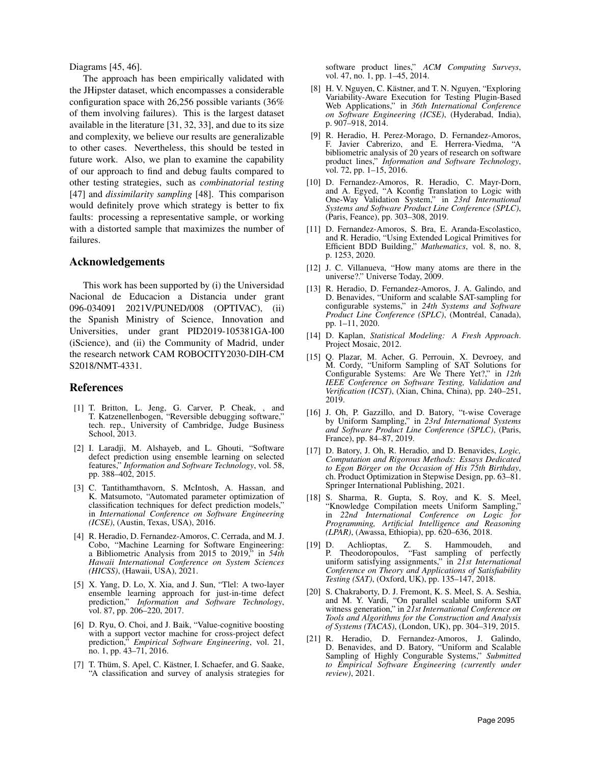Diagrams [45, 46].

The approach has been empirically validated with the JHipster dataset, which encompasses a considerable configuration space with 26,256 possible variants (36% of them involving failures). This is the largest dataset available in the literature [31, 32, 33], and due to its size and complexity, we believe our results are generalizable to other cases. Nevertheless, this should be tested in future work. Also, we plan to examine the capability of our approach to find and debug faults compared to other testing strategies, such as *combinatorial testing* [47] and *dissimilarity sampling* [48]. This comparison would definitely prove which strategy is better to fix faults: processing a representative sample, or working with a distorted sample that maximizes the number of failures.

#### Acknowledgements

This work has been supported by (i) the Universidad Nacional de Educacion a Distancia under grant 096-034091 2021V/PUNED/008 (OPTIVAC), (ii) the Spanish Ministry of Science, Innovation and Universities, under grant PID2019-105381GA-I00 (iScience), and (ii) the Community of Madrid, under the research network CAM ROBOCITY2030-DIH-CM S2018/NMT-4331.

#### References

- [1] T. Britton, L. Jeng, G. Carver, P. Cheak, , and T. Katzenellenbogen, "Reversible debugging software," tech. rep., University of Cambridge, Judge Business School, 2013.
- [2] I. Laradji, M. Alshayeb, and L. Ghouti, "Software defect prediction using ensemble learning on selected features," *Information and Software Technology*, vol. 58, pp. 388–402, 2015.
- [3] C. Tantithamthavorn, S. McIntosh, A. Hassan, and K. Matsumoto, "Automated parameter optimization of classification techniques for defect prediction models," in *International Conference on Software Engineering (ICSE)*, (Austin, Texas, USA), 2016.
- [4] R. Heradio, D. Fernandez-Amoros, C. Cerrada, and M. J. Cobo, "Machine Learning for Software Engineering: a Bibliometric Analysis from 2015 to 2019," in *54th Hawaii International Conference on System Sciences (HICSS)*, (Hawaii, USA), 2021.
- [5] X. Yang, D. Lo, X. Xia, and J. Sun, "Tlel: A two-layer ensemble learning approach for just-in-time defect prediction," *Information and Software Technology*, vol. 87, pp. 206–220, 2017.
- [6] D. Ryu, O. Choi, and J. Baik, "Value-cognitive boosting with a support vector machine for cross-project defect prediction," *Empirical Software Engineering*, vol. 21, no. 1, pp. 43–71, 2016.
- [7] T. Thüm, S. Apel, C. Kästner, I. Schaefer, and G. Saake, "A classification and survey of analysis strategies for

software product lines," *ACM Computing Surveys*, vol. 47, no. 1, pp. 1–45, 2014.

- [8] H. V. Nguyen, C. Kästner, and T. N. Nguyen, "Exploring Variability-Aware Execution for Testing Plugin-Based Web Applications," in *36th International Conference on Software Engineering (ICSE)*, (Hyderabad, India), p. 907–918, 2014.
- [9] R. Heradio, H. Perez-Morago, D. Fernandez-Amoros, F. Javier Cabrerizo, and E. Herrera-Viedma, "A bibliometric analysis of 20 years of research on software product lines," *Information and Software Technology*, vol. 72, pp. 1–15, 2016.
- [10] D. Fernandez-Amoros, R. Heradio, C. Mayr-Dorn, and A. Egyed, "A Kconfig Translation to Logic with One-Way Validation System," in *23rd International Systems and Software Product Line Conference (SPLC)*, (Paris, Feance), pp. 303–308, 2019.
- [11] D. Fernandez-Amoros, S. Bra, E. Aranda-Escolastico, and R. Heradio, "Using Extended Logical Primitives for Efficient BDD Building," *Mathematics*, vol. 8, no. 8, p. 1253, 2020.
- [12] J. C. Villanueva, "How many atoms are there in the universe?." Universe Today, 2009.
- [13] R. Heradio, D. Fernandez-Amoros, J. A. Galindo, and D. Benavides, "Uniform and scalable SAT-sampling for configurable systems," in *24th Systems and Software Product Line Conference (SPLC)*, (Montréal, Canada), pp. 1–11, 2020.
- [14] D. Kaplan, *Statistical Modeling: A Fresh Approach*. Project Mosaic, 2012.
- [15] Q. Plazar, M. Acher, G. Perrouin, X. Devroey, and M. Cordy, "Uniform Sampling of SAT Solutions for Configurable Systems: Are We There Yet?," in *12th IEEE Conference on Software Testing, Validation and Verification (ICST)*, (Xian, China, China), pp. 240–251, 2019.
- [16] J. Oh, P. Gazzillo, and D. Batory, "t-wise Coverage by Uniform Sampling," in *23rd International Systems and Software Product Line Conference (SPLC)*, (Paris, France), pp. 84–87, 2019.
- [17] D. Batory, J. Oh, R. Heradio, and D. Benavides, *Logic, Computation and Rigorous Methods: Essays Dedicated to Egon Börger on the Occasion of His 75th Birthday,* ch. Product Optimization in Stepwise Design, pp. 63–81. Springer International Publishing, 2021.
- [18] S. Sharma, R. Gupta, S. Roy, and K. S. Meel, "Knowledge Compilation meets Uniform Sampling," in *22nd International Conference on Logic for Programming, Artificial Intelligence and Reasoning (LPAR)*, (Awassa, Ethiopia), pp. 620–636, 2018.
- [19] D. Achlioptas, Z. S. Hammoudeh, and "Fast sampling of perfectly uniform satisfying assignments," in *21st International Conference on Theory and Applications of Satisfiability Testing (SAT)*, (Oxford, UK), pp. 135–147, 2018.
- [20] S. Chakraborty, D. J. Fremont, K. S. Meel, S. A. Seshia, and M. Y. Vardi, "On parallel scalable uniform SAT witness generation," in *21st International Conference on Tools and Algorithms for the Construction and Analysis of Systems (TACAS)*, (London, UK), pp. 304–319, 2015.
- [21] R. Heradio, D. Fernandez-Amoros, J. Galindo, D. Benavides, and D. Batory, "Uniform and Scalable Sampling of Highly Congurable Systems," *Submitted to Empirical Software Engineering (currently under review)*, 2021.